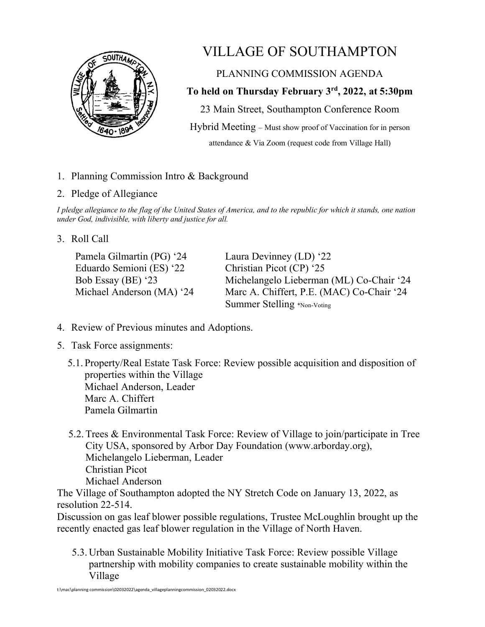

## VILLAGE OF SOUTHAMPTON

PLANNING COMMISSION AGENDA

**To held on Thursday February 3rd, 2022, at 5:30pm**

23 Main Street, Southampton Conference Room Hybrid Meeting – Must show proof of Vaccination for in person attendance & Via Zoom (request code from Village Hall)

1. Planning Commission Intro & Background

## 2. Pledge of Allegiance

*I pledge allegiance to the flag of the United States of America, and to the republic for which it stands, one nation under God, indivisible, with liberty and justice for all.*

## 3. Roll Call

Pamela Gilmartin (PG) '24 Eduardo Semioni (ES) '22 Bob Essay (BE) '23 Michael Anderson (MA) '24 Laura Devinney (LD) '22 Christian Picot (CP) '25 Michelangelo Lieberman (ML) Co-Chair '24 Marc A. Chiffert, P.E. (MAC) Co-Chair '24 Summer Stelling \*Non-Voting

- 4. Review of Previous minutes and Adoptions.
- 5. Task Force assignments:
	- 5.1. Property/Real Estate Task Force: Review possible acquisition and disposition of properties within the Village Michael Anderson, Leader Marc A. Chiffert Pamela Gilmartin
	- 5.2. Trees & Environmental Task Force: Review of Village to join/participate in Tree City USA, sponsored by Arbor Day Foundation (www.arborday.org), Michelangelo Lieberman, Leader Christian Picot Michael Anderson

The Village of Southampton adopted the NY Stretch Code on January 13, 2022, as resolution 22-514.

Discussion on gas leaf blower possible regulations, Trustee McLoughlin brought up the recently enacted gas leaf blower regulation in the Village of North Haven.

5.3. Urban Sustainable Mobility Initiative Task Force: Review possible Village partnership with mobility companies to create sustainable mobility within the Village